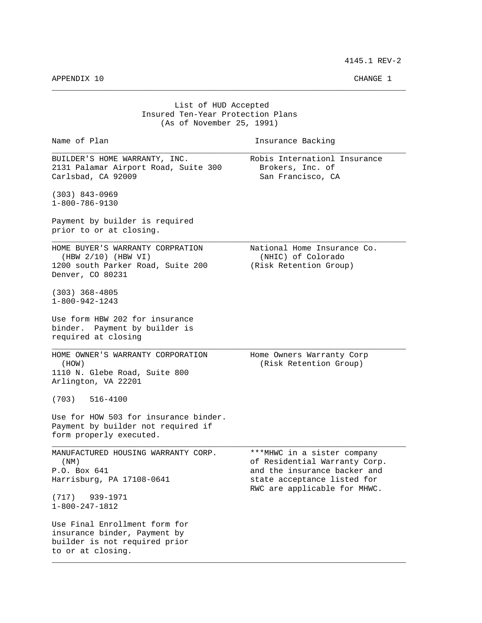4145.1 REV-2

APPENDIX 10 CHANGE 1

| List of HUD Accepted<br>Insured Ten-Year Protection Plans<br>(As of November 25, 1991)                                                                                                                                                                         |                                                                                                                                                             |  |
|----------------------------------------------------------------------------------------------------------------------------------------------------------------------------------------------------------------------------------------------------------------|-------------------------------------------------------------------------------------------------------------------------------------------------------------|--|
| Name of Plan                                                                                                                                                                                                                                                   | Insurance Backing                                                                                                                                           |  |
| BUILDER'S HOME WARRANTY, INC.<br>2131 Palamar Airport Road, Suite 300<br>Carlsbad, CA 92009                                                                                                                                                                    | Robis Internationl Insurance<br>Brokers, Inc. of<br>San Francisco, CA                                                                                       |  |
| $(303)$ 843-0969<br>$1 - 800 - 786 - 9130$                                                                                                                                                                                                                     |                                                                                                                                                             |  |
| Payment by builder is required<br>prior to or at closing.                                                                                                                                                                                                      |                                                                                                                                                             |  |
| HOME BUYER'S WARRANTY CORPRATION<br>$(HBW 2/10)$ (HBW VI)<br>1200 south Parker Road, Suite 200<br>Denver, CO 80231                                                                                                                                             | National Home Insurance Co.<br>(NHIC) of Colorado<br>(Risk Retention Group)                                                                                 |  |
| $(303)$ 368-4805<br>$1 - 800 - 942 - 1243$                                                                                                                                                                                                                     |                                                                                                                                                             |  |
| Use form HBW 202 for insurance<br>binder. Payment by builder is<br>required at closing                                                                                                                                                                         |                                                                                                                                                             |  |
| HOME OWNER'S WARRANTY CORPORATION<br>(HOW)<br>1110 N. Glebe Road, Suite 800<br>Arlington, VA 22201                                                                                                                                                             | Home Owners Warranty Corp<br>(Risk Retention Group)                                                                                                         |  |
| (703)<br>516-4100                                                                                                                                                                                                                                              |                                                                                                                                                             |  |
| Use for HOW 503 for insurance binder.<br>Payment by builder not required if<br>form properly executed.                                                                                                                                                         |                                                                                                                                                             |  |
| MANUFACTURED HOUSING WARRANTY CORP.<br>(MM)<br>P.O. Box 641<br>Harrisburg, PA 17108-0641<br>939-1971<br>(717)<br>$1 - 800 - 247 - 1812$<br>Use Final Enrollment form for<br>insurance binder, Payment by<br>builder is not required prior<br>to or at closing. | ***MHWC in a sister company<br>of Residential Warranty Corp.<br>and the insurance backer and<br>state acceptance listed for<br>RWC are applicable for MHWC. |  |

\_\_\_\_\_\_\_\_\_\_\_\_\_\_\_\_\_\_\_\_\_\_\_\_\_\_\_\_\_\_\_\_\_\_\_\_\_\_\_\_\_\_\_\_\_\_\_\_\_\_\_\_\_\_\_\_\_\_\_\_\_\_\_\_\_\_\_\_\_\_\_\_\_\_\_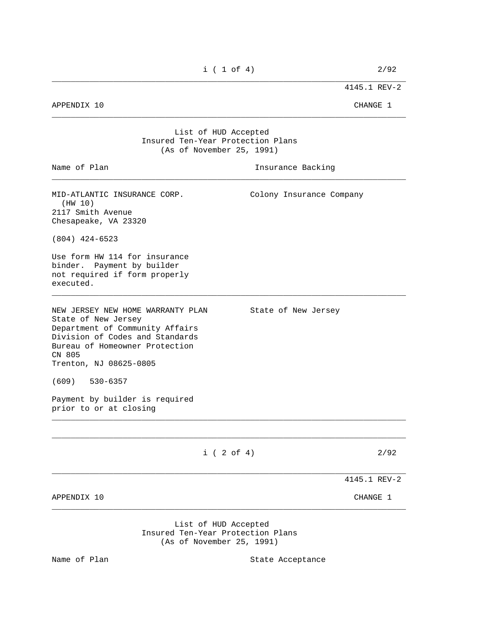\_\_\_\_\_\_\_\_\_\_\_\_\_\_\_\_\_\_\_\_\_\_\_\_\_\_\_\_\_\_\_\_\_\_\_\_\_\_\_\_\_\_\_\_\_\_\_\_\_\_\_\_\_\_\_\_\_\_\_\_\_\_\_\_\_\_\_\_\_\_\_\_\_\_\_

4145.1 REV-2

APPENDIX 10 CHANGE 1

## List of HUD Accepted Insured Ten-Year Protection Plans (As of November 25, 1991)

| Name of Plan                                                                                                                                                                                         | Insurance Backing                                                                      |
|------------------------------------------------------------------------------------------------------------------------------------------------------------------------------------------------------|----------------------------------------------------------------------------------------|
| MID-ATLANTIC INSURANCE CORP.<br>(HW 10)<br>2117 Smith Avenue<br>Chesapeake, VA 23320                                                                                                                 | Colony Insurance Company                                                               |
| $(804)$ 424-6523                                                                                                                                                                                     |                                                                                        |
| Use form HW 114 for insurance<br>binder. Payment by builder<br>not required if form properly<br>executed.                                                                                            |                                                                                        |
| NEW JERSEY NEW HOME WARRANTY PLAN<br>State of New Jersey<br>Department of Community Affairs<br>Division of Codes and Standards<br>Bureau of Homeowner Protection<br>CN 805<br>Trenton, NJ 08625-0805 | State of New Jersey                                                                    |
| $(609)$ 530-6357                                                                                                                                                                                     |                                                                                        |
| Payment by builder is required<br>prior to or at closing                                                                                                                                             |                                                                                        |
|                                                                                                                                                                                                      | $i$ ( 2 of 4)<br>2/92                                                                  |
|                                                                                                                                                                                                      | 4145.1 REV-2                                                                           |
| APPENDIX 10                                                                                                                                                                                          | CHANGE 1                                                                               |
|                                                                                                                                                                                                      | List of HUD Accepted<br>Insured Ten-Year Protection Plans<br>(As of November 25, 1991) |

Name of Plan

State Acceptance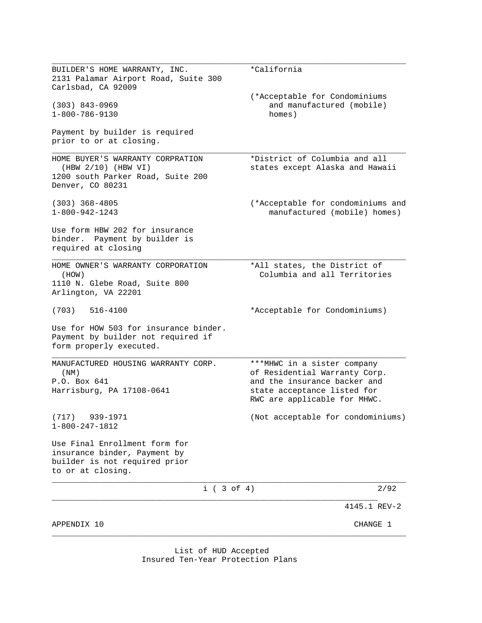\_\_\_\_\_\_\_\_\_\_\_\_\_\_\_\_\_\_\_\_\_\_\_\_\_\_\_\_\_\_\_\_\_\_\_\_\_\_\_\_\_\_\_\_\_\_\_\_\_\_\_\_\_\_\_\_\_\_\_\_\_\_\_\_\_\_\_\_\_\_\_\_\_\_\_ BUILDER'S HOME WARRANTY, INC. \* \* California 2131 Palamar Airport Road, Suite 300 Carlsbad, CA 92009 (\*Acceptable for Condominiums (303) 843-0969 and manufactured (mobile) 1-800-786-9130 homes) Payment by builder is required prior to or at closing. \_\_\_\_\_\_\_\_\_\_\_\_\_\_\_\_\_\_\_\_\_\_\_\_\_\_\_\_\_\_\_\_\_\_\_\_\_\_\_\_\_\_\_\_\_\_\_\_\_\_\_\_\_\_\_\_\_\_\_\_\_\_\_\_\_\_\_\_\_\_\_\_\_\_\_ HOME BUYER'S WARRANTY CORPRATION \*District of Columbia and all (HBW 2/10) (HBW VI) states except Alaska and Hawaii 1200 south Parker Road, Suite 200 Denver, CO 80231 (303) 368-4805 (\*Acceptable for condominiums and manufactured (mobile) homes) Use form HBW 202 for insurance binder. Payment by builder is required at closing \_\_\_\_\_\_\_\_\_\_\_\_\_\_\_\_\_\_\_\_\_\_\_\_\_\_\_\_\_\_\_\_\_\_\_\_\_\_\_\_\_\_\_\_\_\_\_\_\_\_\_\_\_\_\_\_\_\_\_\_\_\_\_\_\_\_\_\_\_\_\_\_\_\_\_ HOME OWNER'S WARRANTY CORPORATION \*All states, the District of (HOW) Columbia and all Territories 1110 N. Glebe Road, Suite 800 Arlington, VA 22201 (703) 516-4100 \*Acceptable for Condominiums) Use for HOW 503 for insurance binder. Payment by builder not required if form properly executed. \_\_\_\_\_\_\_\_\_\_\_\_\_\_\_\_\_\_\_\_\_\_\_\_\_\_\_\_\_\_\_\_\_\_\_\_\_\_\_\_\_\_\_\_\_\_\_\_\_\_\_\_\_\_\_\_\_\_\_\_\_\_\_\_\_\_\_\_\_\_\_\_\_\_\_ MANUFACTURED HOUSING WARRANTY CORP. \*\*\* MHWC in a sister company (NM) of Residential Warranty Corp. P.O. Box 641 **and the insurance backer and** Harrisburg, PA 17108-0641 state acceptance listed for RWC are applicable for MHWC. (717) 939-1971 (Not acceptable for condominiums) 1-800-247-1812 Use Final Enrollment form for insurance binder, Payment by builder is not required prior to or at closing. \_\_\_\_\_\_\_\_\_\_\_\_\_\_\_\_\_\_\_\_\_\_\_\_\_\_\_\_\_\_\_\_\_\_\_\_\_\_\_\_\_\_\_\_\_\_\_\_\_\_\_\_\_\_\_\_\_\_\_\_\_\_\_\_\_\_\_\_\_\_\_\_\_\_\_  $i ( 3 of 4)$  2/92 \_\_\_\_\_\_\_\_\_\_\_\_\_\_\_\_\_\_\_\_\_\_\_\_\_\_\_\_\_\_\_\_\_\_\_\_\_\_\_\_\_\_\_\_\_\_\_\_\_\_\_\_\_\_\_\_\_\_\_\_\_\_\_\_\_\_\_\_\_ 4145.1 REV-2 APPENDIX 10 CHANGE 1 \_\_\_\_\_\_\_\_\_\_\_\_\_\_\_\_\_\_\_\_\_\_\_\_\_\_\_\_\_\_\_\_\_\_\_\_\_\_\_\_\_\_\_\_\_\_\_\_\_\_\_\_\_\_\_\_\_\_\_\_\_\_\_\_\_\_\_\_\_\_\_\_\_\_\_

> List of HUD Accepted Insured Ten-Year Protection Plans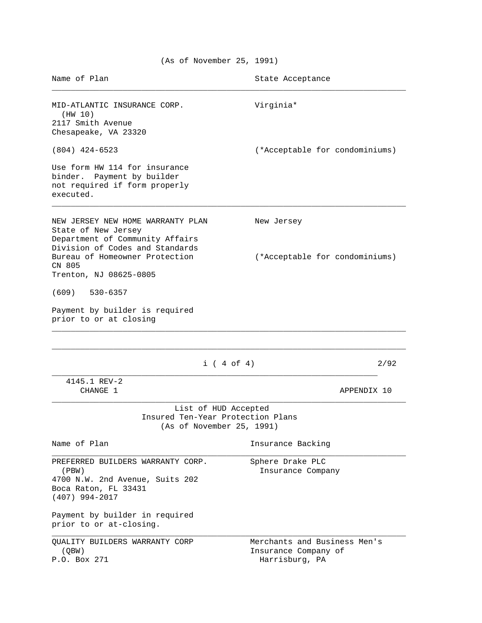| Name of Plan                                                                                                                                                                           | State Acceptance                                                       |      |
|----------------------------------------------------------------------------------------------------------------------------------------------------------------------------------------|------------------------------------------------------------------------|------|
| MID-ATLANTIC INSURANCE CORP.<br>(HW 10)<br>2117 Smith Avenue<br>Chesapeake, VA 23320                                                                                                   | Virginia*                                                              |      |
| $(804)$ 424-6523                                                                                                                                                                       | (*Acceptable for condominiums)                                         |      |
| Use form HW 114 for insurance<br>binder. Payment by builder<br>not required if form properly<br>executed.                                                                              |                                                                        |      |
| NEW JERSEY NEW HOME WARRANTY PLAN<br>State of New Jersey<br>Department of Community Affairs<br>Division of Codes and Standards                                                         | New Jersey                                                             |      |
| Bureau of Homeowner Protection<br>CN 805<br>Trenton, NJ 08625-0805                                                                                                                     | (*Acceptable for condominiums)                                         |      |
| $(609)$ 530-6357                                                                                                                                                                       |                                                                        |      |
| Payment by builder is required<br>prior to or at closing                                                                                                                               |                                                                        |      |
| $i$ (4 of 4)                                                                                                                                                                           |                                                                        | 2/92 |
| 4145.1 REV-2<br>CHANGE 1                                                                                                                                                               | APPENDIX 10                                                            |      |
| List of HUD Accepted<br>Insured Ten-Year Protection Plans<br>(As of November 25, 1991)                                                                                                 |                                                                        |      |
| Name of Plan                                                                                                                                                                           | Insurance Backing                                                      |      |
| PREFERRED BUILDERS WARRANTY CORP.<br>(PBW)<br>4700 N.W. 2nd Avenue, Suits 202<br>Boca Raton, FL 33431<br>$(407)$ 994-2017<br>Payment by builder in required<br>prior to or at-closing. | Sphere Drake PLC<br>Insurance Company                                  |      |
| QUALITY BUILDERS WARRANTY CORP<br>(QBW)<br>P.O. Box 271                                                                                                                                | Merchants and Business Men's<br>Insurance Company of<br>Harrisburg, PA |      |

(As of November 25, 1991)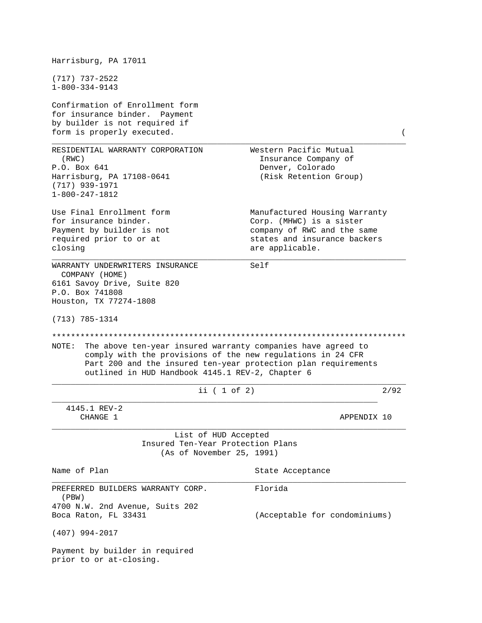| Harrisburg, PA 17011                                                                                                                                                                                                                                        |                                                                                                                                             |      |
|-------------------------------------------------------------------------------------------------------------------------------------------------------------------------------------------------------------------------------------------------------------|---------------------------------------------------------------------------------------------------------------------------------------------|------|
| $(717)$ 737-2522<br>$1 - 800 - 334 - 9143$                                                                                                                                                                                                                  |                                                                                                                                             |      |
| Confirmation of Enrollment form<br>for insurance binder.<br>Payment<br>by builder is not required if<br>form is properly executed.                                                                                                                          |                                                                                                                                             |      |
| RESIDENTIAL WARRANTY CORPORATION<br>(RWC)<br>P.O. Box 641<br>Harrisburg, PA 17108-0641<br>$(717)$ 939-1971<br>$1 - 800 - 247 - 1812$                                                                                                                        | Western Pacific Mutual<br>Insurance Company of<br>Denver, Colorado<br>(Risk Retention Group)                                                |      |
| Use Final Enrollment form<br>for insurance binder.<br>Payment by builder is not<br>required prior to or at<br>closing                                                                                                                                       | Manufactured Housing Warranty<br>Corp. (MHWC) is a sister<br>company of RWC and the same<br>states and insurance backers<br>are applicable. |      |
| WARRANTY UNDERWRITERS INSURANCE<br>COMPANY (HOME)<br>6161 Savoy Drive, Suite 820<br>P.O. Box 741808<br>Houston, TX 77274-1808<br>$(713) 785 - 1314$                                                                                                         | Self                                                                                                                                        |      |
| NOTE :<br>The above ten-year insured warranty companies have agreed to<br>comply with the provisions of the new regulations in 24 CFR<br>Part 200 and the insured ten-year protection plan requirements<br>outlined in HUD Handbook 4145.1 REV-2, Chapter 6 |                                                                                                                                             |      |
| ii $(1 of 2)$                                                                                                                                                                                                                                               |                                                                                                                                             | 2/92 |
| 4145.1 REV-2<br>CHANGE 1                                                                                                                                                                                                                                    | APPENDIX 10                                                                                                                                 |      |
| List of HUD Accepted<br>Insured Ten-Year Protection Plans<br>(As of November 25, 1991)                                                                                                                                                                      |                                                                                                                                             |      |
| Name of Plan                                                                                                                                                                                                                                                | State Acceptance                                                                                                                            |      |
| PREFERRED BUILDERS WARRANTY CORP.<br>(PBW)                                                                                                                                                                                                                  | Florida                                                                                                                                     |      |
| 4700 N.W. 2nd Avenue, Suits 202<br>Boca Raton, FL 33431                                                                                                                                                                                                     | (Acceptable for condominiums)                                                                                                               |      |
| $(407)$ 994-2017                                                                                                                                                                                                                                            |                                                                                                                                             |      |
| Payment by builder in required<br>prior to or at-closing.                                                                                                                                                                                                   |                                                                                                                                             |      |